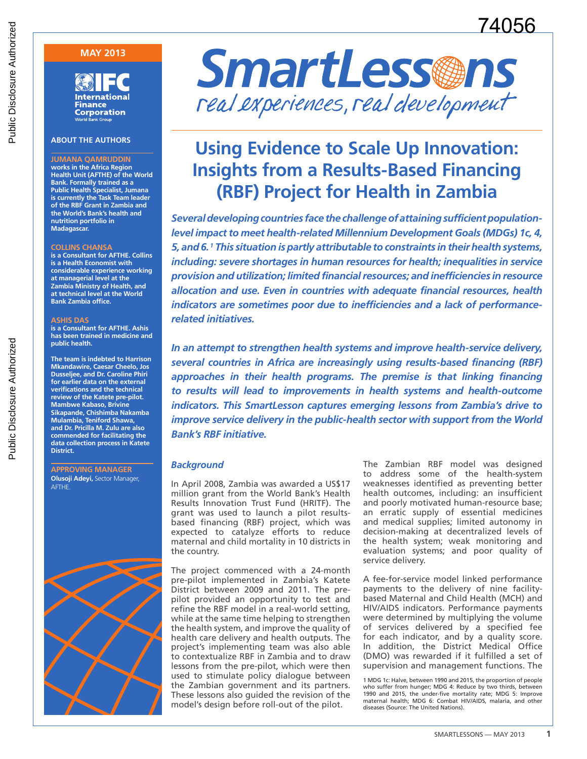# 74056

## **MAY 2013**

**International Finance Corporation Norld Bank Group** 

#### **ABOUT THE AUTHORS**

**JUMANA QAMRUDDIN works in the Africa Region Health Unit (AFTHE) of the World Bank. Formally trained as a Public Health Specialist, Jumana is currently the Task Team leader of the RBF Grant in Zambia and the World's Bank's health and nutrition portfolio in Madagascar.**

#### **COLLINS CHANSA**

**is a Consultant for AFTHE. Collins is a Health Economist with considerable experience working at managerial level at the Zambia Ministry of Health, and at technical level at the World Bank Zambia office.**

#### **ASHIS DAS**

**is a Consultant for AFTHE. Ashis has been trained in medicine and public health.**

**The team is indebted to Harrison Mkandawire, Caesar Cheelo, Jos Dusseljee, and Dr. Caroline Phiri for earlier data on the external verifications and the technical review of the Katete pre-pilot. Mambwe Kabaso, Brivine Sikapande, Chishimba Nakamba Mulambia, Teniford Shawa, and Dr. Pricilla M. Zulu are also commended for facilitating the data collection process in Katete District.**

**APPROVING MANAGER Olusoji Adeyi,** Sector Manager, AFTHE.





## **Using Evidence to Scale Up Innovation: Insights from a Results-Based Financing (RBF) Project for Health in Zambia**

*Several developing countries face the challenge of attaining sufficient populationlevel impact to meet health-related Millennium Development Goals (MDGs) 1c, 4, 5, and 6. 1 This situation is partly attributable to constraints in their health systems, including: severe shortages in human resources for health; inequalities in service provision and utilization; limited financial resources; and inefficiencies in resource allocation and use. Even in countries with adequate financial resources, health indicators are sometimes poor due to inefficiencies and a lack of performancerelated initiatives.* 

*In an attempt to strengthen health systems and improve health-service delivery, several countries in Africa are increasingly using results-based financing (RBF)*  approaches in their health programs. The premise is that linking financing to results will lead to improvements in health systems and health-outcome *indicators. This SmartLesson captures emerging lessons from Zambia's drive to improve service delivery in the public-health sector with support from the World Bank's RBF initiative.*

#### *Background*

In April 2008, Zambia was awarded a US\$17 million grant from the World Bank's Health Results Innovation Trust Fund (HRITF). The grant was used to launch a pilot resultsbased financing (RBF) project, which was expected to catalyze efforts to reduce maternal and child mortality in 10 districts in the country.

The project commenced with a 24-month pre-pilot implemented in Zambia's Katete District between 2009 and 2011. The prepilot provided an opportunity to test and refine the RBF model in a real-world setting, while at the same time helping to strengthen the health system, and improve the quality of health care delivery and health outputs. The project's implementing team was also able to contextualize RBF in Zambia and to draw lessons from the pre-pilot, which were then used to stimulate policy dialogue between the Zambian government and its partners. These lessons also guided the revision of the model's design before roll-out of the pilot.

The Zambian RBF model was designed to address some of the health-system weaknesses identified as preventing better health outcomes, including: an insufficient and poorly motivated human-resource base; an erratic supply of essential medicines and medical supplies; limited autonomy in decision-making at decentralized levels of the health system; weak monitoring and evaluation systems; and poor quality of service delivery.

A fee-for-service model linked performance payments to the delivery of nine facilitybased Maternal and Child Health (MCH) and HIV/AIDS indicators. Performance payments were determined by multiplying the volume of services delivered by a specified fee for each indicator, and by a quality score. In addition, the District Medical Office (DMO) was rewarded if it fulfilled a set of supervision and management functions. The

1 MDG 1c: Halve, between 1990 and 2015, the proportion of people who suffer from hunger; MDG 4: Reduce by two thirds, between 1990 and 2015, the under-five mortality rate; MDG 5: Improve maternal health; MDG 6: Combat HIV/AIDS, malaria, and other diseases (Source: The United Nations).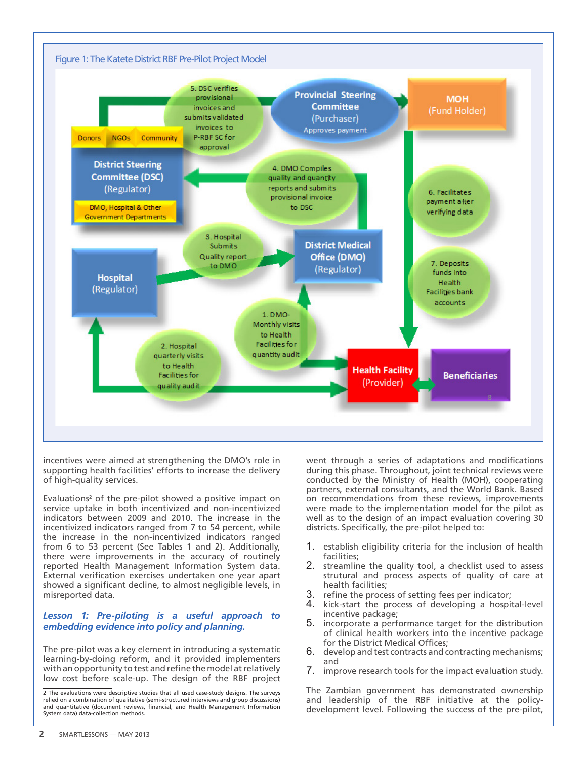

incentives were aimed at strengthening the DMO's role in supporting health facilities' efforts to increase the delivery of high-quality services.

Evaluations<sup>2</sup> of the pre-pilot showed a positive impact on service uptake in both incentivized and non-incentivized indicators between 2009 and 2010. The increase in the incentivized indicators ranged from 7 to 54 percent, while the increase in the non-incentivized indicators ranged from 6 to 53 percent (See Tables 1 and 2). Additionally, there were improvements in the accuracy of routinely reported Health Management Information System data. External verification exercises undertaken one year apart showed a significant decline, to almost negligible levels, in misreported data.

#### *Lesson 1: Pre-piloting is a useful approach to embedding evidence into policy and planning.*

The pre-pilot was a key element in introducing a systematic learning-by-doing reform, and it provided implementers with an opportunity to test and refine the model at relatively low cost before scale-up. The design of the RBF project went through a series of adaptations and modifications during this phase. Throughout, joint technical reviews were conducted by the Ministry of Health (MOH), cooperating partners, external consultants, and the World Bank. Based on recommendations from these reviews, improvements were made to the implementation model for the pilot as well as to the design of an impact evaluation covering 30 districts. Specifically, the pre-pilot helped to:

- 1. establish eligibility criteria for the inclusion of health facilities;
- 2. streamline the quality tool, a checklist used to assess strutural and process aspects of quality of care at health facilities;
- 3. refine the process of setting fees per indicator;<br>4. kick-start the process of developing a hospit
- 4. kick-start the process of developing a hospital-level incentive package;
- 5. incorporate a performance target for the distribution of clinical health workers into the incentive package for the District Medical Offices;
- 6. develop and test contracts and contracting mechanisms; and
- 7. improve research tools for the impact evaluation study.

The Zambian government has demonstrated ownership and leadership of the RBF initiative at the policydevelopment level. Following the success of the pre-pilot,

<sup>2</sup> The evaluations were descriptive studies that all used case-study designs. The surveys relied on a combination of qualitative (semi-structured interviews and group discussions) and quantitative (document reviews, financial, and Health Management Information System data) data-collection methods.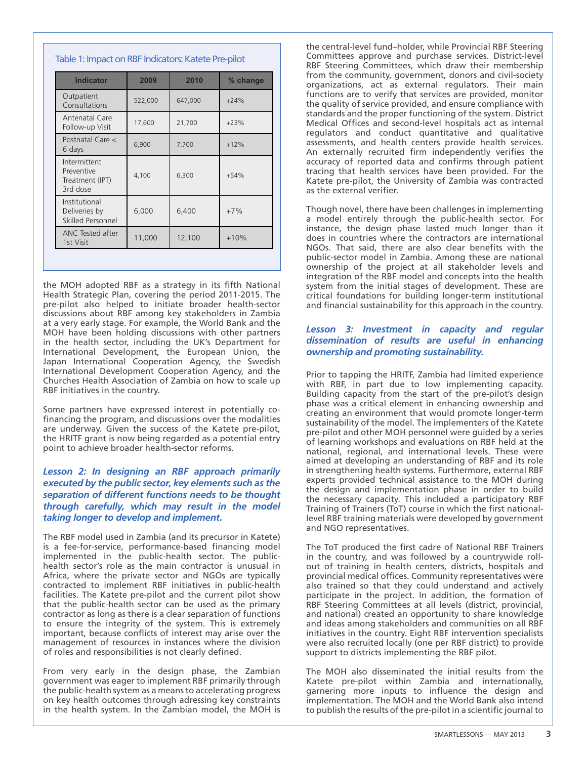| <b>Indicator</b>                                          | 2009    | 2010    | % change |  |  |
|-----------------------------------------------------------|---------|---------|----------|--|--|
| Outpatient<br>Consultations                               | 522,000 | 647,000 | $+24%$   |  |  |
| Antenatal Care<br>Follow-up Visit                         | 17,600  | 21,700  |          |  |  |
| Postnatal Care <<br>6 days                                | 6,900   | 7,700   | $+12%$   |  |  |
| Intermittent<br>Preventive<br>Treatment (IPT)<br>3rd dose | 4,100   | 6,300   | $+54%$   |  |  |
| Institutional<br>Deliveries by<br>Skilled Personnel       | 6,000   | 6,400   | $+7%$    |  |  |
| ANC Tested after<br>1st Visit                             | 11,000  | 12,100  | $+10%$   |  |  |

Table 1: Impact on RBF Indicators: Katete Pre-pilot

the MOH adopted RBF as a strategy in its fifth National Health Strategic Plan, covering the period 2011-2015. The pre-pilot also helped to initiate broader health-sector discussions about RBF among key stakeholders in Zambia at a very early stage. For example, the World Bank and the MOH have been holding discussions with other partners in the health sector, including the UK's Department for International Development, the European Union, the Japan International Cooperation Agency, the Swedish International Development Cooperation Agency, and the Churches Health Association of Zambia on how to scale up RBF initiatives in the country.

Some partners have expressed interest in potentially cofinancing the program, and discussions over the modalities are underway. Given the success of the Katete pre-pilot, the HRITF grant is now being regarded as a potential entry point to achieve broader health-sector reforms.

## *Lesson 2: In designing an RBF approach primarily executed by the public sector, key elements such as the separation of different functions needs to be thought through carefully, which may result in the model taking longer to develop and implement.*

The RBF model used in Zambia (and its precursor in Katete) is a fee-for-service, performance-based financing model implemented in the public-health sector. The publichealth sector's role as the main contractor is unusual in Africa, where the private sector and NGOs are typically contracted to implement RBF initiatives in public-health facilities. The Katete pre-pilot and the current pilot show that the public-health sector can be used as the primary contractor as long as there is a clear separation of functions to ensure the integrity of the system. This is extremely important, because conflicts of interest may arise over the management of resources in instances where the division of roles and responsibilities is not clearly defined.

From very early in the design phase, the Zambian government was eager to implement RBF primarily through the public-health system as a means to accelerating progress on key health outcomes through adressing key constraints in the health system. In the Zambian model, the MOH is

the central-level fund–holder, while Provincial RBF Steering Committees approve and purchase services. District-level RBF Steering Committees, which draw their membership from the community, government, donors and civil-society organizations, act as external regulators. Their main functions are to verify that services are provided, monitor the quality of service provided, and ensure compliance with standards and the proper functioning of the system. District Medical Offices and second-level hospitals act as internal regulators and conduct quantitative and qualitative assessments, and health centers provide health services. An externally recruited firm independently verifies the accuracy of reported data and confirms through patient tracing that health services have been provided. For the Katete pre-pilot, the University of Zambia was contracted as the external verifier.

Though novel, there have been challenges in implementing a model entirely through the public-health sector. For instance, the design phase lasted much longer than it does in countries where the contractors are international NGOs. That said, there are also clear benefits with the public-sector model in Zambia. Among these are national ownership of the project at all stakeholder levels and integration of the RBF model and concepts into the health system from the initial stages of development. These are critical foundations for building longer-term institutional and financial sustainability for this approach in the country.

## *Lesson 3: Investment in capacity and regular dissemination of results are useful in enhancing ownership and promoting sustainability.*

Prior to tapping the HRITF, Zambia had limited experience with RBF, in part due to low implementing capacity. Building capacity from the start of the pre-pilot's design phase was a critical element in enhancing ownership and creating an environment that would promote longer-term sustainability of the model. The implementers of the Katete pre-pilot and other MOH personnel were guided by a series of learning workshops and evaluations on RBF held at the national, regional, and international levels. These were aimed at developing an understanding of RBF and its role in strengthening health systems. Furthermore, external RBF experts provided technical assistance to the MOH during the design and implementation phase in order to build the necessary capacity. This included a participatory RBF Training of Trainers (ToT) course in which the first nationallevel RBF training materials were developed by government and NGO representatives.

The ToT produced the first cadre of National RBF Trainers in the country, and was followed by a countrywide rollout of training in health centers, districts, hospitals and provincial medical offices. Community representatives were also trained so that they could understand and actively participate in the project. In addition, the formation of RBF Steering Committees at all levels (district, provincial, and national) created an opportunity to share knowledge and ideas among stakeholders and communities on all RBF initiatives in the country. Eight RBF intervention specialists were also recruited locally (one per RBF district) to provide support to districts implementing the RBF pilot.

The MOH also disseminated the initial results from the Katete pre-pilot within Zambia and internationally, garnering more inputs to influence the design and implementation. The MOH and the World Bank also intend to publish the results of the pre-pilot in a scientific journal to